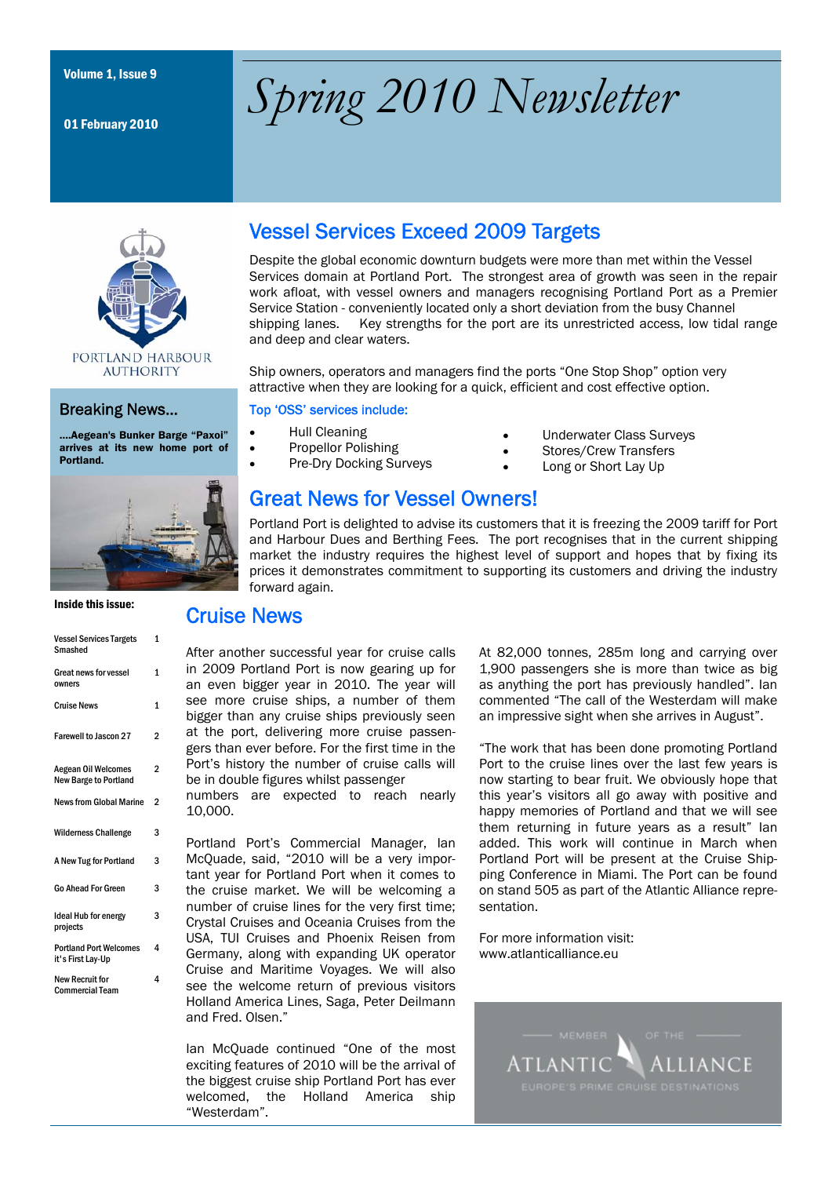01 February 2010

# Volume 1, Issue 9 *Spring 2010 Newsletter*



### Breaking News…

….Aegean's Bunker Barge "Paxoi" arrives at its new home port of Portland.



Inside this issue:

| <b>Vessel Services Targets</b><br>Smashed                  | 1              |
|------------------------------------------------------------|----------------|
| Great news for vessel<br>owners                            | 1              |
| <b>Cruise News</b>                                         | 1              |
| <b>Farewell to Jascon 27</b>                               | 2              |
| <b>Aegean Oil Welcomes</b><br><b>New Barge to Portland</b> | $\overline{2}$ |
| <b>News from Global Marine</b>                             | $\overline{2}$ |
| <b>Wilderness Challenge</b>                                | 3              |
| A New Tug for Portland                                     | 3              |
| <b>Go Ahead For Green</b>                                  | 3              |
| <b>Ideal Hub for energy</b><br>projects                    | 3              |
| <b>Portland Port Welcomes</b><br>it's First Lay-Up         | 4              |
| <b>New Recruit for</b><br><b>Commercial Team</b>           | 4              |

# Vessel Services Exceed 2009 Targets

Despite the global economic downturn budgets were more than met within the Vessel Services domain at Portland Port. The strongest area of growth was seen in the repair work afloat, with vessel owners and managers recognising Portland Port as a Premier Service Station - conveniently located only a short deviation from the busy Channel shipping lanes. Key strengths for the port are its unrestricted access, low tidal range and deep and clear waters.

Ship owners, operators and managers find the ports "One Stop Shop" option very attractive when they are looking for a quick, efficient and cost effective option.

#### Top 'OSS' services include:

- Hull Cleaning
- Propellor Polishing
- Pre-Dry Docking Surveys
- Stores/Crew Transfers
	- Long or Short Lay Up

Underwater Class Surveys

# Great News for Vessel Owners!

Portland Port is delighted to advise its customers that it is freezing the 2009 tariff for Port and Harbour Dues and Berthing Fees. The port recognises that in the current shipping market the industry requires the highest level of support and hopes that by fixing its prices it demonstrates commitment to supporting its customers and driving the industry forward again.

## Cruise News

After another successful year for cruise calls in 2009 Portland Port is now gearing up for an even bigger year in 2010. The year will see more cruise ships, a number of them bigger than any cruise ships previously seen at the port, delivering more cruise passengers than ever before. For the first time in the Port's history the number of cruise calls will be in double figures whilst passenger

numbers are expected to reach nearly 10,000.

Portland Port's Commercial Manager, Ian McQuade, said, "2010 will be a very important year for Portland Port when it comes to the cruise market. We will be welcoming a number of cruise lines for the very first time; Crystal Cruises and Oceania Cruises from the USA, TUI Cruises and Phoenix Reisen from Germany, along with expanding UK operator Cruise and Maritime Voyages. We will also see the welcome return of previous visitors Holland America Lines, Saga, Peter Deilmann and Fred. Olsen."

Ian McQuade continued "One of the most exciting features of 2010 will be the arrival of the biggest cruise ship Portland Port has ever welcomed, the Holland America ship "Westerdam".

At 82,000 tonnes, 285m long and carrying over 1,900 passengers she is more than twice as big as anything the port has previously handled". Ian commented "The call of the Westerdam will make an impressive sight when she arrives in August".

"The work that has been done promoting Portland Port to the cruise lines over the last few years is now starting to bear fruit. We obviously hope that this year's visitors all go away with positive and happy memories of Portland and that we will see them returning in future years as a result" Ian added. This work will continue in March when Portland Port will be present at the Cruise Shipping Conference in Miami. The Port can be found on stand 505 as part of the Atlantic Alliance representation.

For more information visit: www.atlanticalliance.eu

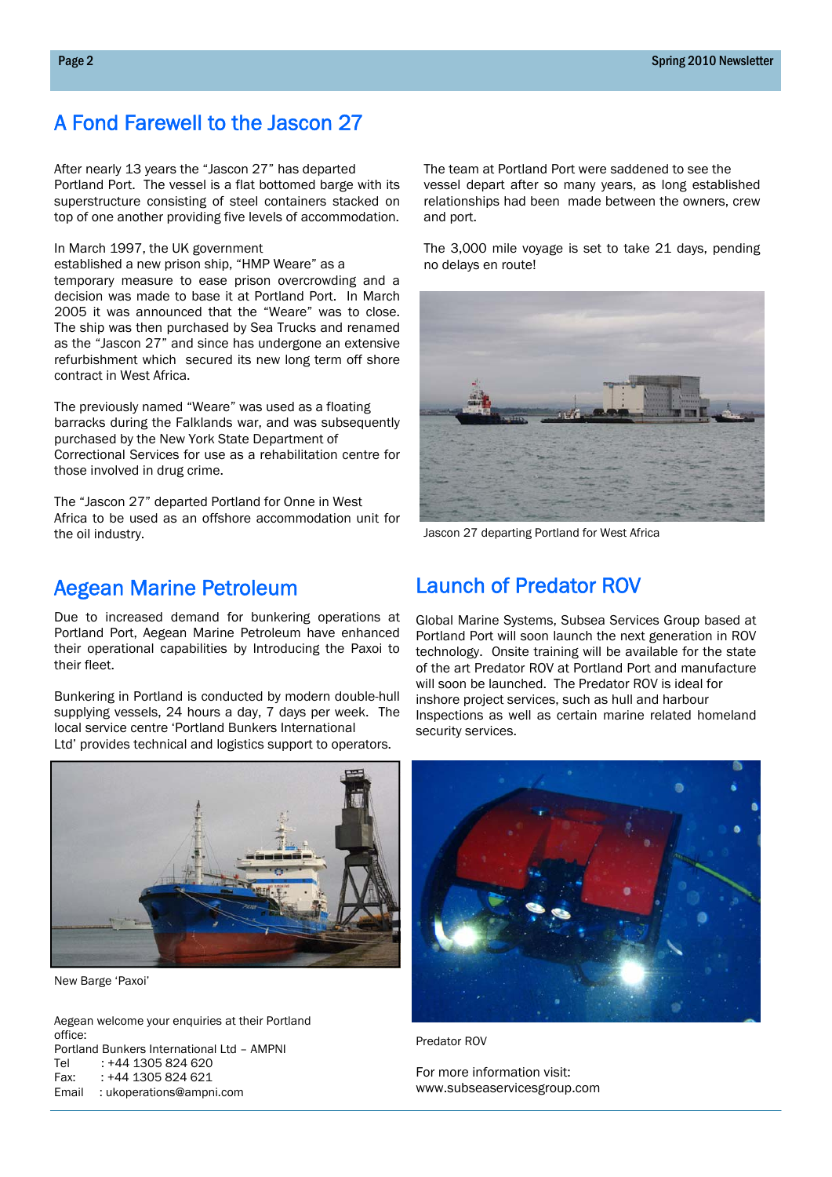# A Fond Farewell to the Jascon 27

After nearly 13 years the "Jascon 27" has departed Portland Port. The vessel is a flat bottomed barge with its superstructure consisting of steel containers stacked on top of one another providing five levels of accommodation.

#### In March 1997, the UK government

established a new prison ship, "HMP Weare" as a temporary measure to ease prison overcrowding and a decision was made to base it at Portland Port. In March 2005 it was announced that the "Weare" was to close. The ship was then purchased by Sea Trucks and renamed as the "Jascon 27" and since has undergone an extensive refurbishment which secured its new long term off shore contract in West Africa.

The previously named "Weare" was used as a floating barracks during the Falklands war, and was subsequently purchased by the New York State Department of Correctional Services for use as a rehabilitation centre for those involved in drug crime.

The "Jascon 27" departed Portland for Onne in West Africa to be used as an offshore accommodation unit for the oil industry.

## Aegean Marine Petroleum

Due to increased demand for bunkering operations at Portland Port, Aegean Marine Petroleum have enhanced their operational capabilities by Introducing the Paxoi to their fleet.

Bunkering in Portland is conducted by modern double-hull supplying vessels, 24 hours a day, 7 days per week. The local service centre 'Portland Bunkers International Ltd' provides technical and logistics support to operators.

New Barge 'Paxoi'

Aegean welcome your enquiries at their Portland office: Portland Bunkers International Ltd – AMPNI Tel : +44 1305 824 620 Fax: : +44 1305 824 621 Email : ukoperations@ampni.com

The team at Portland Port were saddened to see the vessel depart after so many years, as long established relationships had been made between the owners, crew and port.

The 3,000 mile voyage is set to take 21 days, pending no delays en route!



Jascon 27 departing Portland for West Africa

## Launch of Predator ROV

Global Marine Systems, Subsea Services Group based at Portland Port will soon launch the next generation in ROV technology. Onsite training will be available for the state of the art Predator ROV at Portland Port and manufacture will soon be launched. The Predator ROV is ideal for inshore project services, such as hull and harbour Inspections as well as certain marine related homeland security services.



Predator ROV

For more information visit: www.subseaservicesgroup.com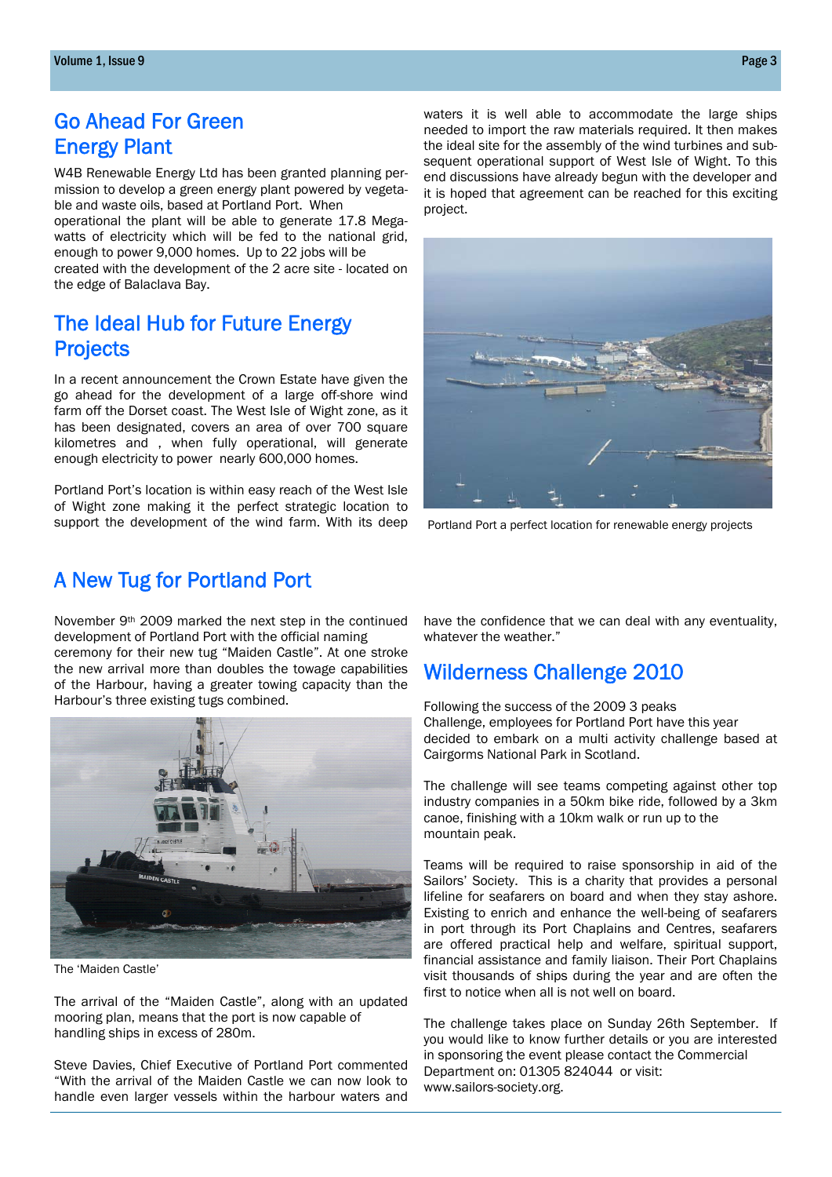# Go Ahead For Green Energy Plant

W4B Renewable Energy Ltd has been granted planning permission to develop a green energy plant powered by vegetable and waste oils, based at Portland Port. When

operational the plant will be able to generate 17.8 Megawatts of electricity which will be fed to the national grid, enough to power 9,000 homes. Up to 22 jobs will be created with the development of the 2 acre site - located on the edge of Balaclava Bay.

# The Ideal Hub for Future Energy **Projects**

In a recent announcement the Crown Estate have given the go ahead for the development of a large off-shore wind farm off the Dorset coast. The West Isle of Wight zone, as it has been designated, covers an area of over 700 square kilometres and , when fully operational, will generate enough electricity to power nearly 600,000 homes.

Portland Port's location is within easy reach of the West Isle of Wight zone making it the perfect strategic location to support the development of the wind farm. With its deep

A New Tug for Portland Port

# November 9th 2009 marked the next step in the continued

development of Portland Port with the official naming ceremony for their new tug "Maiden Castle". At one stroke the new arrival more than doubles the towage capabilities of the Harbour, having a greater towing capacity than the Harbour's three existing tugs combined.



The 'Maiden Castle'

The arrival of the "Maiden Castle", along with an updated mooring plan, means that the port is now capable of handling ships in excess of 280m.

Steve Davies, Chief Executive of Portland Port commented "With the arrival of the Maiden Castle we can now look to handle even larger vessels within the harbour waters and have the confidence that we can deal with any eventuality, whatever the weather."

Portland Port a perfect location for renewable energy projects

# Wilderness Challenge 2010

Following the success of the 2009 3 peaks Challenge, employees for Portland Port have this year decided to embark on a multi activity challenge based at Cairgorms National Park in Scotland.

The challenge will see teams competing against other top industry companies in a 50km bike ride, followed by a 3km canoe, finishing with a 10km walk or run up to the mountain peak.

Teams will be required to raise sponsorship in aid of the Sailors' Society. This is a charity that provides a personal lifeline for seafarers on board and when they stay ashore. Existing to enrich and enhance the well-being of seafarers in port through its Port Chaplains and Centres, seafarers are offered practical help and welfare, spiritual support, financial assistance and family liaison. Their Port Chaplains visit thousands of ships during the year and are often the first to notice when all is not well on board.

The challenge takes place on Sunday 26th September. If you would like to know further details or you are interested in sponsoring the event please contact the Commercial Department on: 01305 824044 or visit: www.sailors-society.org.

waters it is well able to accommodate the large ships needed to import the raw materials required. It then makes the ideal site for the assembly of the wind turbines and subsequent operational support of West Isle of Wight. To this end discussions have already begun with the developer and it is hoped that agreement can be reached for this exciting project.